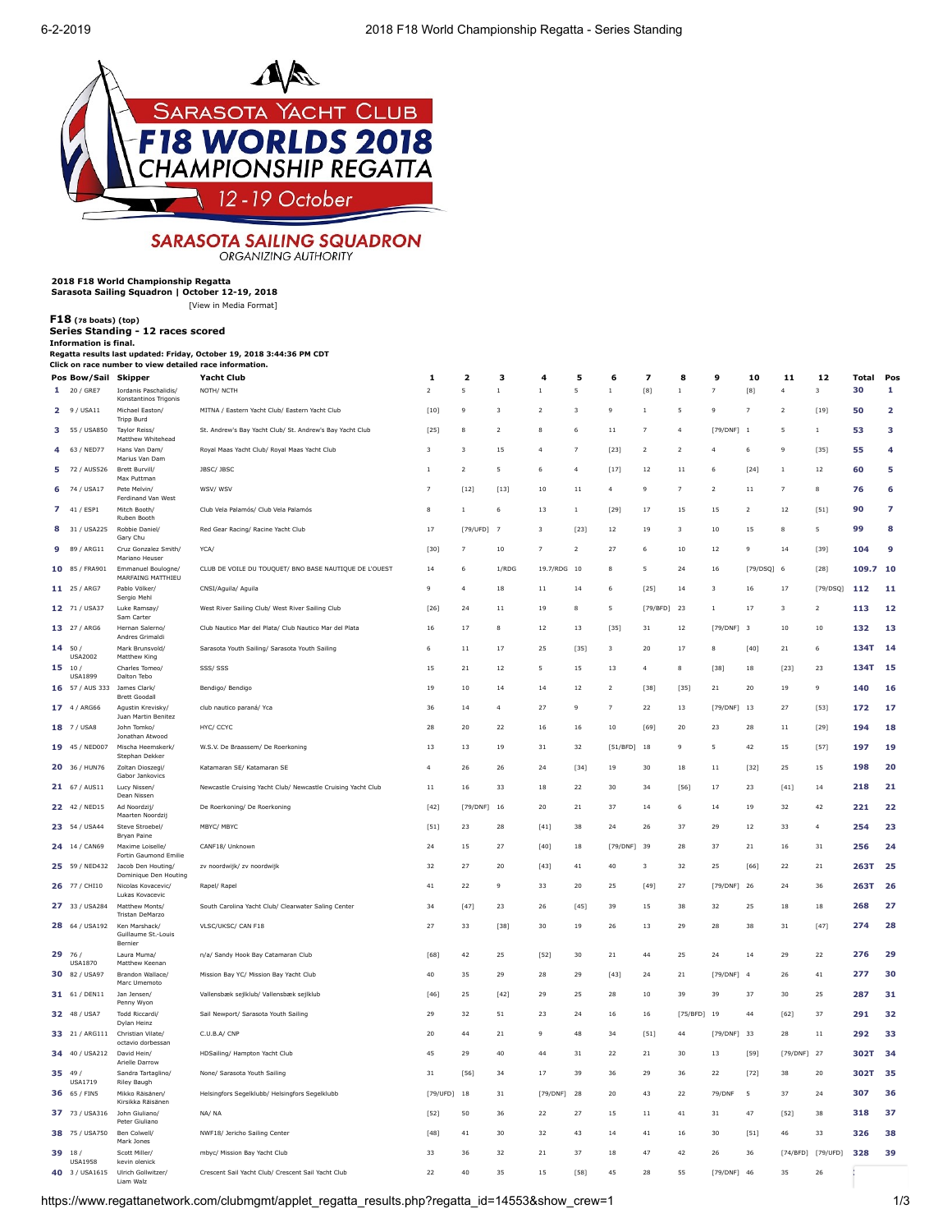

## **SARASOTA SAILING SQUADRON** ORGANIZING AUTHORITY

## **2018 F18 World Championship Regatta Sarasota Sailing Squadron | October 12-19, 2018**

**Information is final.**

**40** 3 / USA1615 Ulrich Gollwitzer/ Liam Walz

[\[View in Media Format](https://www.regattanetwork.com/clubmgmt/applet_regatta_results.php?regatta_id=14553&show_crew=1&media_format=1)]

**[F18](https://www.regattanetwork.com/clubmgmt/applet_regatta_results.php?regatta_id=14553&show_crew=1&limit_fleet=F18) (78 boats) (top) Series Standing - 12 races scored**

|    | Pos Bow/Sail Skipper              |                                                 | <b>Yacht Club</b>                                            | $\mathbf{1}$   | $\overline{\mathbf{2}}$ | 3                       | 4              | 5                       | 6              | 7                       | 8              | 9              | 10                                                                                                                                                         | 11                      | 12                | <b>Total</b> | Pos |
|----|-----------------------------------|-------------------------------------------------|--------------------------------------------------------------|----------------|-------------------------|-------------------------|----------------|-------------------------|----------------|-------------------------|----------------|----------------|------------------------------------------------------------------------------------------------------------------------------------------------------------|-------------------------|-------------------|--------------|-----|
|    | 1 20 / GRE7                       | Iordanis Paschalidis/<br>Konstantinos Trigonis  | NOTH/ NCTH                                                   | $\overline{2}$ | 5                       | $\overline{1}$          | $\,1\,$        | 5                       | $\,1\,$        |                         | $\,1\,$        | $\overline{7}$ | $[8] % \includegraphics[width=0.9\columnwidth]{figures/fig_1a} \caption{Schematic diagram of the top of the top of the top of the right.} \label{fig:1} %$ | $\overline{4}$          | 3                 | 30           | 1   |
|    | 29 / USA11                        | Michael Easton/<br><b>Tripp Burd</b>            | MITNA / Eastern Yacht Club/ Eastern Yacht Club               | $[10]$         | 9                       | $\overline{\mathbf{3}}$ | $\overline{a}$ | $\overline{\mathbf{3}}$ | 9              | $\,1\,$                 | 5              | 9              | $\overline{7}$                                                                                                                                             | $\overline{\mathbf{2}}$ | $[19]$            | 50           | 2   |
|    | 3 55 / USA850                     | Taylor Reiss/<br>Matthew Whitehead              | St. Andrew's Bay Yacht Club/ St. Andrew's Bay Yacht Club     | $[25]$         | 8                       | $\overline{2}$          | 8              | 6                       | 11             | $\overline{7}$          | $\overline{4}$ | [79/DNF] 1     |                                                                                                                                                            | 5                       | $\mathbf{1}$      | 53           | 3   |
|    | 63 / NED77                        | Hans Van Dam/<br>Marius Van Dam                 | Royal Maas Yacht Club/ Royal Maas Yacht Club                 | 3              | $\overline{\mathbf{3}}$ | 15                      | $\overline{4}$ | $\overline{7}$          | $[23]$         | $\overline{2}$          | $\overline{2}$ | $\overline{4}$ | 6                                                                                                                                                          | 9                       | $[35]$            | 55           | 4   |
| 5. | 72 / AUS526                       | Brett Burvill/<br>Max Puttman                   | JBSC/ JBSC                                                   | $\,1\,$        | $\mathbf 2$             | 5                       | 6              | $\overline{4}$          | $[17]$         | 12                      | 11             | 6              | $[24]$                                                                                                                                                     | $\,1\,$                 | $12\,$            | 60           | 5   |
| 6. | 74 / USA17                        | Pete Melvin/<br>Ferdinand Van West              | WSV/ WSV                                                     | $\overline{z}$ | $[12]$                  | $[13]$                  | 10             | 11                      | $\overline{4}$ | $\ddot{q}$              | $\overline{7}$ | $\overline{2}$ | 11                                                                                                                                                         | $\overline{z}$          | 8                 | 76           | 6   |
| 7  | 41 / ESP1                         | Mitch Booth/<br>Ruben Booth                     | Club Vela Palamós/ Club Vela Palamós                         | 8              | $\,1\,$                 | 6                       | 13             | $\mathbf{1}$            | $[29]$         | 17                      | 15             | 15             | $\overline{2}$                                                                                                                                             | 12                      | $[51]$            | 90           | 7   |
|    | 31 / USA225                       | Robbie Daniel/<br>Gary Chu                      | Red Gear Racing/ Racine Yacht Club                           | 17             | [79/UFD]                | $\overline{7}$          | 3              | $[23]$                  | 12             | 19                      | 3              | 10             | 15                                                                                                                                                         | 8                       | 5                 | 99           | 8   |
| 9  | 89 / ARG11                        | Cruz Gonzalez Smith/<br>Mariano Heuser          | YCA/                                                         | [30]           | $\overline{7}$          | $10\,$                  | 7              | $\overline{2}$          | 27             | 6                       | 10             | 12             | 9                                                                                                                                                          | 14                      | $[39]$            | 104          | 9   |
|    | 10 85 / FRA901                    | Emmanuel Boulogne/<br>MARFAING MATTHIEU         | CLUB DE VOILE DU TOUQUET/ BNO BASE NAUTIQUE DE L'OUEST       | 14             | 6                       | 1/ROG                   | 19.7/RDG 10    |                         | 8              | 5                       | 24             | 16             | [79/DSQ]                                                                                                                                                   | 6                       | $[28]$            | 109.7        | 10  |
|    | 11 25 / ARG7                      | Pablo Völker/<br>Sergio Mehl                    | CNSI/Aguila/ Aguila                                          | 9              | $\overline{4}$          | 18                      | $11\,$         | 14                      | 6              | $[25]$                  | 14             | 3              | 16                                                                                                                                                         | 17                      | [79/DSQ]          | 112          | 11  |
|    | 12 71 / USA37                     | Luke Ramsay/<br>Sam Carter                      | West River Sailing Club/ West River Sailing Club             | $[26]$         | 24                      | 11                      | 19             | 8                       | 5              | [79/BFD]                | 23             | $\mathbf{1}$   | 17                                                                                                                                                         | $\overline{\mathbf{3}}$ | $\overline{2}$    | 113          | 12  |
|    | 13 27 / ARG6                      | Hernan Salerno/<br>Andres Grimaldi              | Club Nautico Mar del Plata/ Club Nautico Mar del Plata       | 16             | 17                      | 8                       | 12             | 13                      | [35]           | 31                      | 12             | [79/DNF]       | $\overline{\mathbf{3}}$                                                                                                                                    | 10                      | 10                | 132          | 13  |
| 14 | 50/<br><b>USA2002</b>             | Mark Brunsvold/<br>Matthew King                 | Sarasota Youth Sailing/ Sarasota Youth Sailing               | 6              | $1\,1$                  | 17                      | 25             | [35]                    | 3              | 20                      | 17             | 8              | $[40]$                                                                                                                                                     | $_{\rm 21}$             | 6                 | 134T         | 14  |
| 15 | 10 <sub>1</sub><br><b>USA1899</b> | Charles Tomeo/<br>Dalton Tebo                   | SSS/SSS                                                      | 15             | 21                      | 12                      | 5              | 15                      | 13             | $\overline{4}$          | 8              | $[38]$         | $18\,$                                                                                                                                                     | $[23]$                  | 23                | <b>134T</b>  | 15  |
|    | 16 57 / AUS 333                   | James Clark/<br><b>Brett Goodall</b>            | Bendigo/ Bendigo                                             | 19             | 10                      | 14                      | 14             | 12                      | $\overline{2}$ | [38]                    | $[35]$         | 21             | 20                                                                                                                                                         | 19                      | 9                 | 140          | 16  |
|    | 17 4 / ARG66                      | Aqustin Krevisky/<br>Juan Martin Benitez        | club nautico paraná/ Yca                                     | 36             | 14                      | $\overline{4}$          | 27             | $\ddot{q}$              | $\overline{7}$ | 22                      | 13             | [79/DNF]       | 13                                                                                                                                                         | 27                      | [53]              | 172          | 17  |
|    | 18 7 / USA8                       | John Tomko/<br>Jonathan Atwood                  | HYC/ CCYC                                                    | 28             | 20                      | 22                      | 16             | 16                      | 10             | $[69]$                  | 20             | 23             | 28                                                                                                                                                         | 11                      | $[29]$            | 194          | 18  |
|    | 19 45 / NED007                    | Mischa Heemskerk/<br>Stephan Dekker             | W.S.V. De Braassem/ De Roerkoning                            | 13             | 13                      | 19                      | 31             | 32                      | [51/BFD]       | 18                      | 9              | 5              | 42                                                                                                                                                         | 15                      | $[57]$            | 197          | 19  |
|    | 20 36 / HUN76                     | Zoltan Dioszegi/<br>Gabor Jankovics             | Katamaran SE/ Katamaran SE                                   | $\overline{4}$ | 26                      | 26                      | 24             | $[34]$                  | 19             | 30                      | 18             | 11             | $[32]$                                                                                                                                                     | 25                      | 15                | 198          | 20  |
|    | 21 67 / AUS11                     | Lucy Nissen/<br>Dean Nissen                     | Newcastle Cruising Yacht Club/ Newcastle Cruising Yacht Club | $1\,1$         | 16                      | 33                      | 18             | 22                      | 30             | 34                      | $[56]$         | 17             | 23                                                                                                                                                         | $[41]$                  | 14                | 218          | 21  |
|    | 22 42 / NED15                     | Ad Noordzij/<br>Maarten Noordzij                | De Roerkoning/ De Roerkoning                                 | $[42]$         | [79/DNF]                | 16                      | 20             | $21\,$                  | 37             | 14                      | 6              | 14             | 19                                                                                                                                                         | 32                      | 42                | 221          | 22  |
|    | 23 54 / USA44                     | Steve Stroebel/<br>Bryan Paine                  | MBYC/ MBYC                                                   | $[51]$         | 23                      | 28                      | $[41]$         | 38                      | 24             | 26                      | 37             | 29             | 12                                                                                                                                                         | 33                      | 4                 | 254          | 23  |
|    | 24 14 / CAN69                     | Maxime Loiselle/<br>Fortin Gaumond Emilie       | CANF18/ Unknown                                              | $\bf 24$       | 15                      | 27                      | $[40]$         | $18\,$                  | $[79/DNF]$     | 39                      | 28             | 37             | $2\sqrt{1}$                                                                                                                                                | 16                      | $31\,$            | 256          | 24  |
|    | 25 59 / NED432                    | Jacob Den Houting/<br>Dominique Den Houting     | zv noordwijk/ zv noordwijk                                   | 32             | 27                      | $20\,$                  | $[43]$         | $41\,$                  | 40             | $\overline{\mathbf{3}}$ | 32             | 25             | [66]                                                                                                                                                       | 22                      | $_{\rm 21}$       | 263T         | 25  |
|    | 26 77 / CHI10                     | Nicolas Kovacevic/<br>Lukas Kovacevic           | Rapel/ Rapel                                                 | 41             | 22                      | 9                       | 33             | 20                      | 25             | $[49]$                  | 27             | [79/DNF]       | -26                                                                                                                                                        | 24                      | 36                | 263T         | 26  |
|    | 27 33 / USA284                    | Matthew Monts/<br>Tristan DeMarzo               | South Carolina Yacht Club/ Clearwater Saling Center          | 34             | $[47]$                  | 23                      | 26             | $[45]$                  | 39             | 15                      | 38             | 32             | 25                                                                                                                                                         | $18\,$                  | $18\,$            | 268          | 27  |
|    | 28 64 / USA192                    | Ken Marshack/<br>Guillaume St.-Louis<br>Bernier | VLSC/UKSC/ CAN F18                                           | 27             | 33                      | $[38]$                  | 30             | 19                      | 26             | 13                      | 29             | 28             | 38                                                                                                                                                         | $3\sqrt{1}$             | $[47]$            | 274          | 28  |
| 29 | 76<br><b>USA1870</b>              | Laura Muma/<br>Matthew Keenan                   | n/a/ Sandy Hook Bay Catamaran Club                           | $[68]$         | 42                      | 25                      | $[52]$         | 30                      | 21             | 44                      | 25             | 24             | 14                                                                                                                                                         | 29                      | 22                | 276          | 29  |
| 30 | 82 / USA97                        | Brandon Wallace/<br>Marc Umemoto                | Mission Bay YC/ Mission Bay Yacht Club                       | 40             | 35                      | 29                      | 28             | 29                      | $[43]$         | 24                      | 21             | [79/DNF]       | $\overline{4}$                                                                                                                                             | 26                      | 41                | 277          | 30  |
|    | 31 61 / DEN11                     | Jan Jensen/<br>Penny Wyon                       | Vallensbæk sejlklub/ Vallensbæk sejlklub                     | $[46]$         | 25                      | $[42]$                  | 29             | 25                      | 28             | $10$                    | 39             | 39             | 37                                                                                                                                                         | 30                      | 25                | 287          | 31  |
|    | 32 48 / USA7                      | Todd Riccardi/<br>Dylan Heinz                   | Sail Newport/ Sarasota Youth Sailing                         | 29             | 32                      | 51                      | 23             | 24                      | 16             | 16                      | [75/BFD]       | 19             | 44                                                                                                                                                         | $[62]$                  | 37                | 291          | 32  |
|    | 33 21 / ARG111                    | Christian Vilate/<br>octavio dorbessan          | C.U.B.A/ CNP                                                 | 20             | 44                      | 21                      | 9              | 48                      | 34             | $[51]$                  | 44             | $[79/DNF]$     | 33                                                                                                                                                         | 28                      | $11\,$            | 292          | 33  |
|    | 34 40 / USA212                    | David Hein/<br>Arielle Darrow                   | HDSailing/ Hampton Yacht Club                                | 45             | 29                      | 40                      | 44             | $3\sqrt{1}$             | 22             | $\bf{21}$               | 30             | 13             | $[59]$                                                                                                                                                     | [79/DNF]                | 27                | 302T         | 34  |
| 35 | 49/<br><b>USA1719</b>             | Sandra Tartaglino/<br>Riley Baugh               | None/ Sarasota Youth Sailing                                 | 31             | [56]                    | 34                      | 17             | 39                      | 36             | 29                      | 36             | 22             | $[72]$                                                                                                                                                     | 38                      | 20                | 302T         | -35 |
|    | 36 65 / FIN5                      | Mikko Räisänen/<br>Kirsikka Räisänen            | Helsingfors Segelklubb/ Helsingfors Segelklubb               | $[79/$ UFD]    | 18                      | 31                      | [79/DNF]       | 28                      | 20             | 43                      | 22             | 79/DNF         | 5                                                                                                                                                          | 37                      | 24                | 307          | 36  |
|    | 37 73 / USA316                    | John Giuliano/<br>Peter Giuliano                | NA/NA                                                        | $[52]$         | 50                      | 36                      | 22             | 27                      | 15             | 11                      | 41             | 31             | 47                                                                                                                                                         | $[52]$                  | 38                | 318          | 37  |
|    | 38 75 / USA750                    | Ben Colwell/<br>Mark Jones                      | NWF18/ Jericho Sailing Center                                | [48]           | 41                      | 30                      | 32             | 43                      | 14             | 41                      | 16             | 30             | [51]                                                                                                                                                       | 46                      | 33                | 326          | 38  |
|    | 39 18/<br><b>USA1958</b>          | Scott Miller/<br>kevin olenick                  | mbyc/ Mission Bay Yacht Club                                 | 33             | 36                      | 32                      | 21             | 37                      | 18             | 47                      | 42             | 26             | 36                                                                                                                                                         |                         | [74/BFD] [79/UFD] | 328          | 39  |

Crescent Sail Yacht Club/ Crescent Sail Yacht Club 22 40 35 15 [58] 45 28 55 [79/DNF] 46 35 26 **347 40**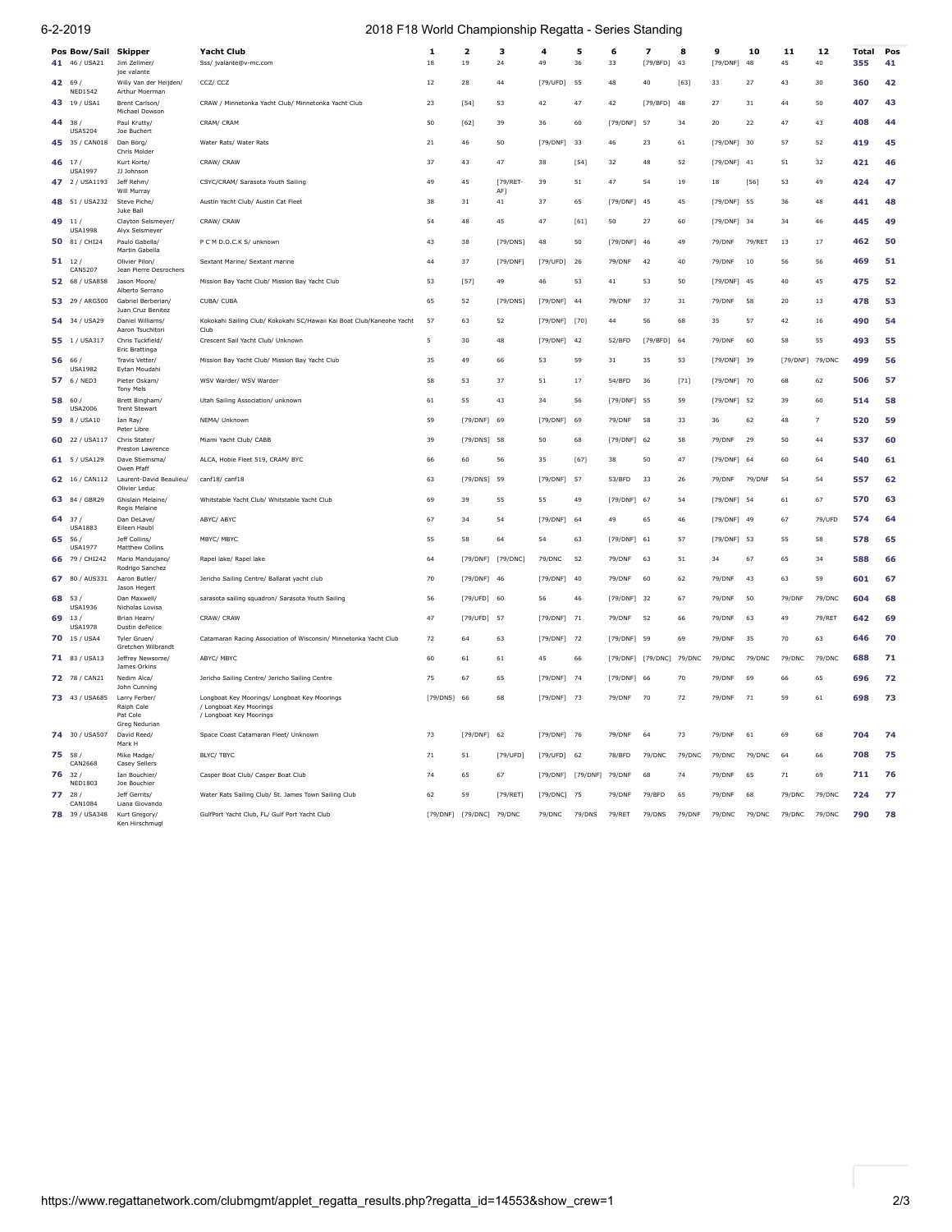## 6-2-2019 2018 F18 World Championship Regatta - Series Standing

|       | Pos Bow/Sail Skipper<br>41 46 / USA21 | Jim Zellmer/<br>ioe valante              | Yacht Club<br>Sss/ jvalante@v-mc.com                                                               | 1<br>$18\,$ | 2<br>19                  | з<br>24           | 4<br>49       | 5<br>36  | 6<br>33       | $\overline{\mathbf{z}}$<br>[79/BFD] | 8<br>43 | 9<br>[79/DNF] | 10<br>48 | 11<br>45    | 12<br>40       | Total<br>355 | Pos<br>41 |
|-------|---------------------------------------|------------------------------------------|----------------------------------------------------------------------------------------------------|-------------|--------------------------|-------------------|---------------|----------|---------------|-------------------------------------|---------|---------------|----------|-------------|----------------|--------------|-----------|
| 42    | 69<br><b>NED1542</b>                  | Willy Van der Heijden/<br>Arthur Moerman | CCZ/CCZ                                                                                            | 12          | 28                       | 44                | [79/UFD]      | 55       | 48            | 40                                  | $[63]$  | 33            | 27       | 43          | 30             | 360          | 42        |
|       | 43 19 / USA1                          | Brent Carlson/<br>Michael Dowson         | CRAW / Minnetonka Yacht Club/ Minnetonka Yacht Club                                                | 23          | $[54]$                   | 53                | 42            | 47       | 42            | [79/BFD]                            | 48      | 27            | 31       | 44          | 50             | 407          | 43        |
| 44    | 38<br><b>USA5204</b>                  | Paul Krutty/<br>Joe Buchert              | CRAM/ CRAM                                                                                         | 50          | $[62]$                   | 39                | 36            | 60       | [79/DNF]      | 57                                  | 34      | 20            | 22       | 47          | 43             | 408          | 44        |
|       | 45 35 / CAN018                        | Dan Borg/<br>Chris Molder                | Water Rats/ Water Rats                                                                             | 21          | 46                       | 50                | [79/DNF]      | 33       | 46            | 23                                  | 61      | [79/DNF]      | 30       | 57          | 52             | 419          | 45        |
| 46    | 17<br><b>USA1997</b>                  | Kurt Korte/<br>JJ Johnson                | CRAW/ CRAW                                                                                         | 37          | 43                       | 47                | 38            | [54]     | 32            | 48                                  | 52      | [79/DNF] 41   |          | 51          | 32             | 421          | 46        |
|       | 47 2 / USA1193                        | Jeff Rehm/<br>Will Murray                | CSYC/CRAM/ Sarasota Youth Sailing                                                                  | 49          | 45                       | [79/RET-<br>AF]   | 39            | 51       | 47            | 54                                  | 19      | 18            | [56]     | 53          | 49             | 424          | 47        |
| 48 51 | / USA232                              | Steve Piche<br>Juke Ball                 | Austin Yacht Club/ Austin Cat Fleet                                                                | 38          | 31                       | 41                | 37            | 65       | [79/DNF]      | 45                                  | 45      | [79/DNF] 55   |          | 36          | 48             | 441          | 48        |
| 49    | 11<br><b>USA1998</b>                  | Clavton Selsmever/<br>Alyx Selsmeyer     | CRAW/ CRAW                                                                                         | 54          | 48                       | 45                | 47            | $[61]$   | 50            | 27                                  | 60      | [79/DNF]      | 34       | 34          | 46             | 445          | 49        |
|       | 50 81 / CHI24                         | Paulo Gabella/<br>Martin Gabella         | P C M D.O.C.K S/ unknown                                                                           | 43          | 38                       | [79/DNS]          | 48            | 50       | $[79/DNF]$    | 46                                  | 49      | 79/DNF        | 79/RET   | $1\sqrt{3}$ | 17             | 462          | 50        |
|       | 51112<br>CAN5207                      | Olivier Pilon/<br>Jean Pierre Desrochers | Sextant Marine/ Sextant marine                                                                     | 44          | 37                       | [79/DNF]          | [79/UFD]      | 26       | 79/DNF        | 42                                  | 40      | 79/DNF        | 10       | 56          | 56             | 469          | 51        |
|       | 52 68 / USA858                        | Jason Moore/<br>Alberto Serrano          | Mission Bay Yacht Club/ Mission Bay Yacht Club                                                     | 53          | $[57]$                   | 49                | 46            | 53       | 41            | 53                                  | 50      | [79/DNF]      | 45       | 40          | 45             | 475          | 52        |
|       | 53 29 / ARG500                        | Gabriel Berberian/<br>Juan Cruz Benitez  | CUBA/ CUBA                                                                                         | 65          | 52                       | [79/DNS]          | [79/DNF]      | 44       | 79/DNF        | 37                                  | 31      | 79/DNF        | 58       | 20          | 13             | 478          | 53        |
|       | 54 34 / USA29                         | Daniel Williams/<br>Aaron Tsuchitori     | Kokokahi Sailing Club/ Kokokahi SC/Hawaii Kai Boat Club/Kaneohe Yacht<br>Club                      | 57          | 63                       | 52                | [79/DNF] [70] |          | 44            | 56                                  | 68      | 35            | 57       | 42          | 16             | 490          | 54        |
|       | 55 1 / USA317                         | Chris Tuckfield/<br>Eric Brattinga       | Crescent Sail Yacht Club/ Unknown                                                                  | 5           | 30                       | 48                | [79/DNF] 42   |          | 52/BFD        | [79/BFD]                            | 64      | 79/DNF        | 60       | 58          | 55             | 493          | 55        |
|       | 56 66<br><b>USA1982</b>               | Travis Vetter/<br>Eytan Moudahi          | Mission Bay Yacht Club/ Mission Bay Yacht Club                                                     | 35          | 49                       | 66                | 53            | 59       | 31            | 35                                  | 53      | [79/DNF] 39   |          | [79/DNF]    | 79/DNC         | 499          | 56        |
| 57    | 6 / NED3                              | Pieter Oskam/<br><b>Tony Mels</b>        | WSV Warder/ WSV Warder                                                                             | 58          | 53                       | 37                | 51            | 17       | 54/BFD        | 36                                  | $[71]$  | [79/DNF] 70   |          | 68          | 62             | 506          | 57        |
| 58    | 60<br><b>USA2006</b>                  | Brett Bingham/<br><b>Trent Stewart</b>   | Utah Sailing Association/ unknown                                                                  | 61          | 55                       | 43                | 34            | 56       | [79/DNF]      | - 55                                | 59      | [79/DNF]      | - 52     | 39          | 60             | 514          | 58        |
| 598/  | USA10                                 | Ian Ray/<br>Peter Libre                  | NEMA/ Unknown                                                                                      | 59          | [79/DNF]                 | 69                | [79/DNF]      | 69       | 79/DNF        | 58                                  | 33      | 36            | 62       | 48          | $\overline{7}$ | 520          | 59        |
|       | 60 22 / USA117                        | Chris Stater/<br>Preston Lawrence        | Miami Yacht Club/ CABB                                                                             | 39          | [79/DNS]                 | 58                | 50            | 68       | [79/DNF]      | 62                                  | 58      | 79/DNF        | 29       | 50          | 44             | 537          | 60        |
|       | 61 5/USA129                           | Dave Stiemsma/<br>Owen Pfaff             | ALCA, Hobie Fleet 519, CRAM/ BYC                                                                   | 66          | 60                       | 56                | 35            | $[67]$   | 38            | 50                                  | 47      | [79/DNF]      | 64       | 60          | 64             | 540          | 61        |
|       | 62 16 / CAN112                        | Laurent-David Beaulieu/<br>Olivier Leduc | canf18/canf18                                                                                      | 63          | [79/DNS]                 | 59                | [79/DNF]      | 57       | 53/BFD        | 33                                  | 26      | 79/DNF        | 79/DNF   | 54          | 54             | 557          | 62        |
| 63 84 | GBR29                                 | Ghislain Melaine/<br>Regis Melaine       | Whitstable Yacht Club/ Whitstable Yacht Club                                                       | 69          | 39                       | 55                | 55            | 49       | [79/DNF]      | 67                                  | 54      | [79/DNF]      | 54       | 61          | 67             | 570          | 63        |
|       | 37/<br><b>USA1883</b>                 | Dan DeLave/<br>Eileen Haub               | ABYC/ ABYC                                                                                         | 67          | 34                       | 54                | [79/DNF]      | 64       | 49            | 65                                  | 46      | [79/DNF] 49   |          | 67          | 79/UFD         | 574          | 64        |
| 65    | 56/<br><b>USA1977</b>                 | Jeff Collins/<br><b>Matthew Collins</b>  | MBYC/ MBYC                                                                                         | 55          | 58                       | 64                | 54            | 63       | [79/DNF] 61   |                                     | 57      | [79/DNF] 53   |          | 55          | 58             | 578          | 65        |
|       | 66 79 / CHI242                        | Mario Mandujano/<br>Rodrigo Sanchez      | Rapel lake/ Rapel lake                                                                             | 64          |                          | [79/DNF] [79/DNC] | 79/DNC        | 52       | 79/DNF        | 63                                  | 51      | 34            | 67       | 65          | 34             | 588          | 66        |
|       | 67 80 / AUS331                        | Aaron Butler/<br>Jason Hegert            | Jericho Sailing Centre/ Ballarat yacht club                                                        | 70          | [79/DNF]                 | -46               | [79/DNF]      | -40      | <b>79/DNF</b> | 60                                  | 62      | 79/DNF        | 43       | 63          | 59             | 601          | 67        |
| 68    | 53<br><b>USA1936</b>                  | Dan Maxwell/<br>Nicholas Lovisa          | sarasota sailing squadron/ Sarasota Youth Sailing                                                  | 56          | [79/UFD]                 | 60                | 56            | 46       | [79/DNF]      | 32                                  | 67      | 79/DNF        | 50       | 79/DNF      | 79/DNC         | 604          | 68        |
| 69    | 13.<br><b>USA1978</b>                 | Brian Hearn/<br>Dustin deFelice          | CRAW/ CRAW                                                                                         | 47          | [79/UFD]                 | 57                | [79/DNF]      | 71       | 79/DNF        | 52                                  | 66      | 79/DNF        | 63       | 49          | 79/RFT         | 642          | 69        |
|       | 70 15 / USA4                          | Tyler Gruen/<br>Gretchen Wilbrandt       | Catamaran Racing Association of Wisconsin/ Minnetonka Yacht Club                                   | 72          | 64                       | 63                | [79/DNF] 72   |          | [79/DNF] 59   |                                     | 69      | 79/DNF        | 35       | 70          | 63             | 646          | 70        |
|       | 71 83 / USA13                         | Jeffrey Newsome/<br>James Orkins         | ABYC/ MBYC                                                                                         | 60          | 61                       | 61                | 45            | 66       |               | [79/DNF] [79/DNC]                   | 79/DNC  | 79/DNC        | 79/DNC   | 79/DNC      | 79/DNC         | 688          | 71        |
|       | 72 78 / CAN21                         | Nedim Alca/<br>John Cunning              | Jericho Sailing Centre/ Jericho Sailing Centre                                                     | 75          | 67                       | 65                | [79/DNF] 74   |          | [79/DNF]      | 66                                  | 70      | 79/DNF        | 69       | 66          | 65             | 696          | 72        |
|       | 73 43 / USA685                        | Larry Ferber/<br>Ralph Cole<br>Pat Cole  | Longboat Key Moorings/ Longboat Key Moorings<br>/ Longboat Key Moorings<br>/ Longboat Key Moorings | [79/DNS]    | 66                       | 68                | [79/DNF] 73   |          | 79/DNF        | 70                                  | 72      | 79/DNF        | 71       | 59          | 61             | 698          | 73        |
| 74    | 30 / USA507                           | Greg Nedurian<br>David Reed/<br>Mark H   | Space Coast Catamaran Fleet/ Unknown                                                               | 73          | [79/DNF]                 | 62                | [79/DNF]      | 76       | 79/DNF        | 64                                  | 73      | 79/DNF        | 61       | 69          | 68             | 704          | 74        |
|       | 75 58 /<br>CAN2668                    | Mike Madge/<br>Casey Sellers             | BLYC/ TBYC                                                                                         | 71          | 51                       | [79/UFD]          | [79/UFD]      | 62       | 78/BFD        | 79/DNC                              | 79/DNC  | 79/DNC        | 79/DNC   | 64          | 66             | 708          | 75        |
| 76    | 32<br><b>NED1803</b>                  | Ian Bouchier/<br>Joe Bouchier            | Casper Boat Club/ Casper Boat Club                                                                 | 74          | 65                       | 67                | [79/DNF]      | [79/DNF] | 79/DNF        | 68                                  | 74      | 79/DNF        | 65       | 71          | 69             | 711          | 76        |
|       | 28<br>CAN1084                         | leff Gerrits/<br>Liana Giovando          | Water Rats Sailing Club/ St. James Town Sailing Club                                               | 62          | 59                       | [79/RET]          | [79/DNC]      | 75       | 79/DNF        | 79/BFD                              | 65      | 79/DNF        | 68       | 79/DNC      | 79/DNC         | 724          | 77        |
|       | 78 39 / USA348                        | Kurt Gregory/<br>Ken Hirschmugl          | GulfPort Yacht Club, FL/ Gulf Port Yacht Club                                                      |             | [79/DNF] [79/DNC] 79/DNC |                   | 79/DNC        | 79/DNS   | 79/RET        | 79/DNS                              | 79/DNF  | 79/DNC        | 79/DNC   | 79/DNC      | 79/DNC         | 790          | 78        |